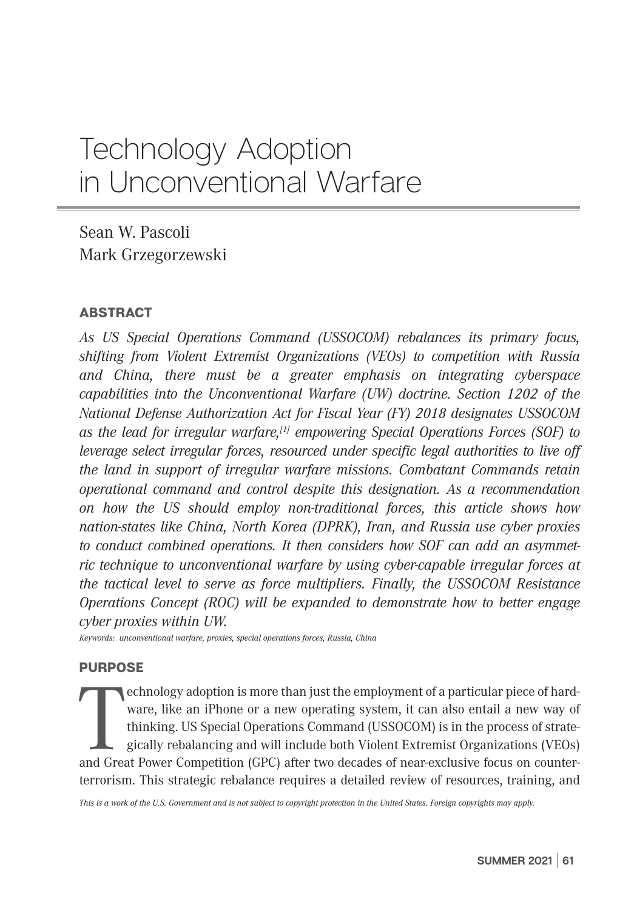# Technology Adoption in Unconventional Warfare

Sean W. Pascoli Mark Grzegorzewski

# ABSTRACT

*As US Special Operations Command (USSOCOM) rebalances its primary focus, shifting from Violent Extremist Organizations (VEOs) to competition with Russia and China, there must be a greater emphasis on integrating cyberspace capabilities into the Unconventional Warfare (UW) doctrine. Section 1202 of the National Defense Authorization Act for Fiscal Year (FY) 2018 designates USSOCOM as the lead for irregular warfare,[1] empowering Special Operations Forces (SOF) to leverage select irregular forces, resourced under specific legal authorities to live off the land in support of irregular warfare missions. Combatant Commands retain operational command and control despite this designation. As a recommendation on how the US should employ non-traditional forces, this article shows how nation-states like China, North Korea (DPRK), Iran, and Russia use cyber proxies to conduct combined operations. It then considers how SOF can add an asymmetric technique to unconventional warfare by using cyber-capable irregular forces at the tactical level to serve as force multipliers. Finally, the USSOCOM Resistance Operations Concept (ROC) will be expanded to demonstrate how to better engage cyber proxies within UW.* 

*Keywords: unconventional warfare, proxies, special operations forces, Russia, China*

# PURPOSE

echnology adoption is more than just the employment of a particular piece of hardware, like an iPhone or a new operating system, it can also entail a new way of thinking. US Special Operations Command (USSOCOM) is in the p echnology adoption is more than just the employment of a particular piece of hardware, like an iPhone or a new operating system, it can also entail a new way of thinking. US Special Operations Command (USSOCOM) is in the process of strategically rebalancing and will include both Violent Extremist Organizations (VEOs) terrorism. This strategic rebalance requires a detailed review of resources, training, and

*This is a work of the U.S. Government and is not subject to copyright protection in the United States. Foreign copyrights may apply.*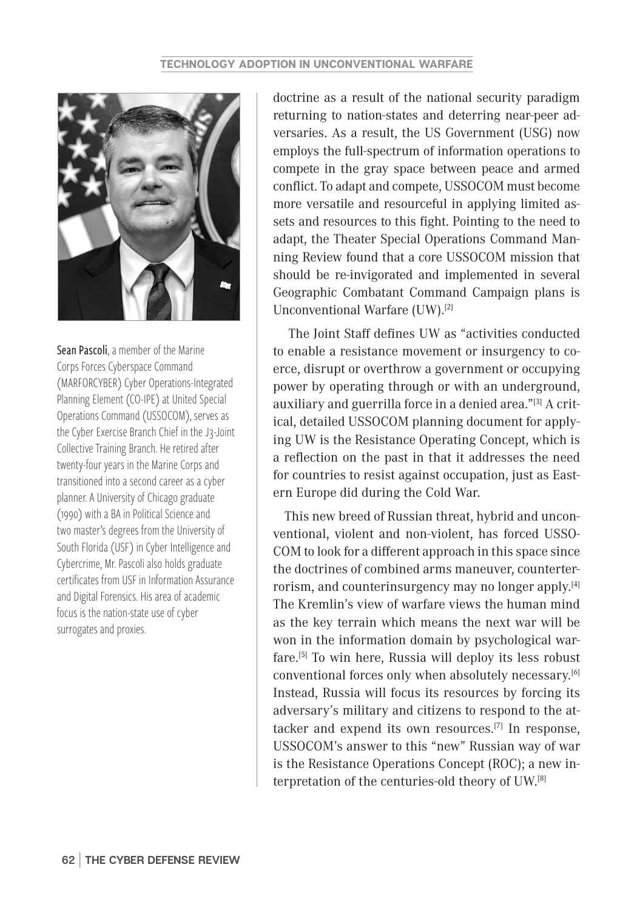

Sean Pascoli, a member of the Marine Corps Forces Cyberspace Command (MARFORCYBER) Cyber Operations-Integrated Planning Element (CO-IPE) at United Special Operations Command (USSOCOM), serves as the Cyber Exercise Branch Chief in the J3-Joint Collective Training Branch. He retired after twenty-four years in the Marine Corps and transitioned into a second career as a cyber planner. A University of Chicago graduate (1990) with a BA in Political Science and two master's degrees from the University of South Florida (USF) in Cyber Intelligence and Cybercrime, Mr. Pascoli also holds graduate certificates from USF in Information Assurance and Digital Forensics. His area of academic focus is the nation-state use of cyber surrogates and proxies.

doctrine as a result of the national security paradigm returning to nation-states and deterring near-peer adversaries. As a result, the US Government (USG) now employs the full-spectrum of information operations to compete in the gray space between peace and armed conflict. To adapt and compete, USSOCOM must become more versatile and resourceful in applying limited assets and resources to this fight. Pointing to the need to adapt, the Theater Special Operations Command Manning Review found that a core USSOCOM mission that should be re-invigorated and implemented in several Geographic Combatant Command Campaign plans is Unconventional Warfare (UW).[2]

 The Joint Staff defines UW as "activities conducted to enable a resistance movement or insurgency to coerce, disrupt or overthrow a government or occupying power by operating through or with an underground, auxiliary and guerrilla force in a denied area."[3] A critical, detailed USSOCOM planning document for applying UW is the Resistance Operating Concept, which is a reflection on the past in that it addresses the need for countries to resist against occupation, just as Eastern Europe did during the Cold War.

This new breed of Russian threat, hybrid and unconventional, violent and non-violent, has forced USSO-COM to look for a different approach in this space since the doctrines of combined arms maneuver, counterterrorism, and counterinsurgency may no longer apply.[4] The Kremlin's view of warfare views the human mind as the key terrain which means the next war will be won in the information domain by psychological warfare.[5] To win here, Russia will deploy its less robust conventional forces only when absolutely necessary.[6] Instead, Russia will focus its resources by forcing its adversary's military and citizens to respond to the attacker and expend its own resources.[7] In response, USSOCOM's answer to this "new" Russian way of war is the Resistance Operations Concept (ROC); a new interpretation of the centuries-old theory of UW.[8]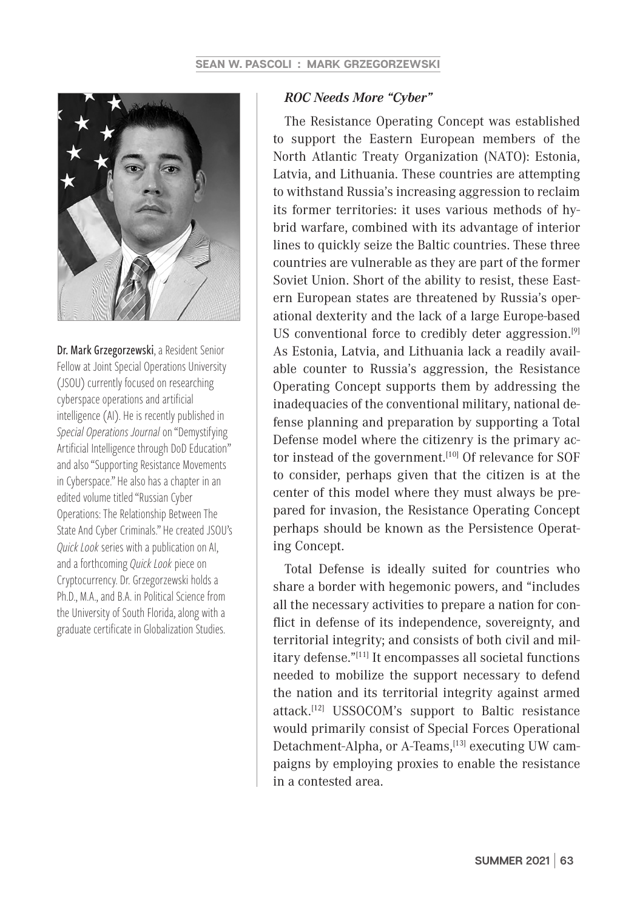

Dr. Mark Grzegorzewski, a Resident Senior Fellow at Joint Special Operations University (JSOU) currently focused on researching cyberspace operations and artificial intelligence (AI). He is recently published in *Special Operations Journal* on "Demystifying Artificial Intelligence through DoD Education" and also "Supporting Resistance Movements in Cyberspace." He also has a chapter in an edited volume titled "Russian Cyber Operations: The Relationship Between The State And Cyber Criminals." He created JSOU's *Quick Look* series with a publication on AI, and a forthcoming *Quick Look* piece on Cryptocurrency. Dr. Grzegorzewski holds a Ph.D., M.A., and B.A. in Political Science from the University of South Florida, along with a graduate certificate in Globalization Studies.

#### *ROC Needs More "Cyber"*

The Resistance Operating Concept was established to support the Eastern European members of the North Atlantic Treaty Organization (NATO): Estonia, Latvia, and Lithuania. These countries are attempting to withstand Russia's increasing aggression to reclaim its former territories: it uses various methods of hybrid warfare, combined with its advantage of interior lines to quickly seize the Baltic countries. These three countries are vulnerable as they are part of the former Soviet Union. Short of the ability to resist, these Eastern European states are threatened by Russia's operational dexterity and the lack of a large Europe-based US conventional force to credibly deter aggression.<sup>[9]</sup> As Estonia, Latvia, and Lithuania lack a readily available counter to Russia's aggression, the Resistance Operating Concept supports them by addressing the inadequacies of the conventional military, national defense planning and preparation by supporting a Total Defense model where the citizenry is the primary actor instead of the government.<sup>[10]</sup> Of relevance for SOF to consider, perhaps given that the citizen is at the center of this model where they must always be prepared for invasion, the Resistance Operating Concept perhaps should be known as the Persistence Operating Concept.

Total Defense is ideally suited for countries who share a border with hegemonic powers, and "includes all the necessary activities to prepare a nation for conflict in defense of its independence, sovereignty, and territorial integrity; and consists of both civil and military defense."[11] It encompasses all societal functions needed to mobilize the support necessary to defend the nation and its territorial integrity against armed attack.[12] USSOCOM's support to Baltic resistance would primarily consist of Special Forces Operational Detachment-Alpha, or A-Teams,<sup>[13]</sup> executing UW campaigns by employing proxies to enable the resistance in a contested area.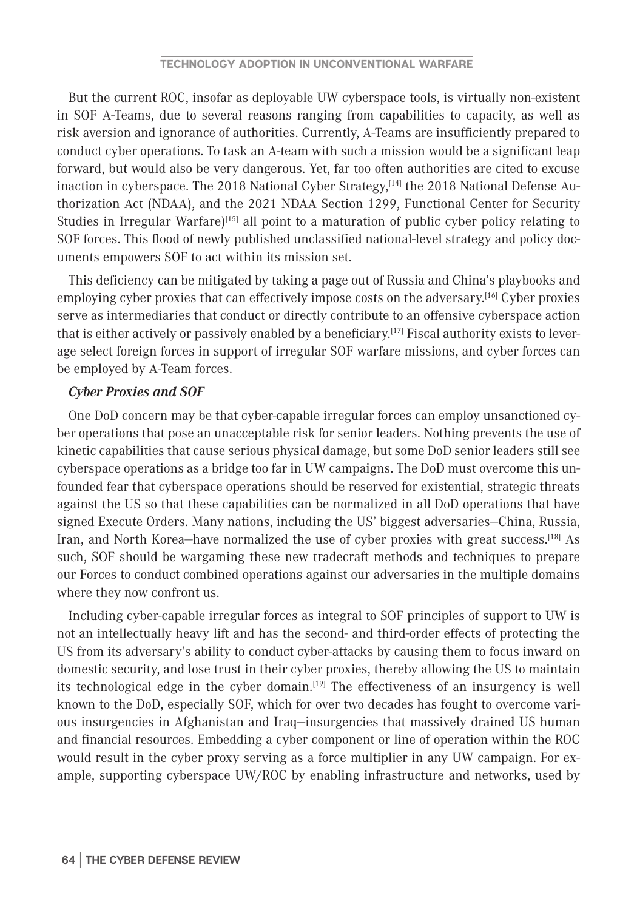But the current ROC, insofar as deployable UW cyberspace tools, is virtually non-existent in SOF A-Teams, due to several reasons ranging from capabilities to capacity, as well as risk aversion and ignorance of authorities. Currently, A-Teams are insufficiently prepared to conduct cyber operations. To task an A-team with such a mission would be a significant leap forward, but would also be very dangerous. Yet, far too often authorities are cited to excuse inaction in cyberspace. The 2018 National Cyber Strategy,<sup>[14]</sup> the 2018 National Defense Authorization Act (NDAA), and the 2021 NDAA Section 1299, Functional Center for Security Studies in Irregular Warfare)<sup>[15]</sup> all point to a maturation of public cyber policy relating to SOF forces. This flood of newly published unclassified national-level strategy and policy documents empowers SOF to act within its mission set.

This deficiency can be mitigated by taking a page out of Russia and China's playbooks and employing cyber proxies that can effectively impose costs on the adversary.<sup>[16]</sup> Cyber proxies serve as intermediaries that conduct or directly contribute to an offensive cyberspace action that is either actively or passively enabled by a beneficiary.<sup>[17]</sup> Fiscal authority exists to leverage select foreign forces in support of irregular SOF warfare missions, and cyber forces can be employed by A-Team forces.

# *Cyber Proxies and SOF*

One DoD concern may be that cyber-capable irregular forces can employ unsanctioned cyber operations that pose an unacceptable risk for senior leaders. Nothing prevents the use of kinetic capabilities that cause serious physical damage, but some DoD senior leaders still see cyberspace operations as a bridge too far in UW campaigns. The DoD must overcome this unfounded fear that cyberspace operations should be reserved for existential, strategic threats against the US so that these capabilities can be normalized in all DoD operations that have signed Execute Orders. Many nations, including the US' biggest adversaries—China, Russia, Iran, and North Korea—have normalized the use of cyber proxies with great success.<sup>[18]</sup> As such, SOF should be wargaming these new tradecraft methods and techniques to prepare our Forces to conduct combined operations against our adversaries in the multiple domains where they now confront us.

Including cyber-capable irregular forces as integral to SOF principles of support to UW is not an intellectually heavy lift and has the second- and third-order effects of protecting the US from its adversary's ability to conduct cyber-attacks by causing them to focus inward on domestic security, and lose trust in their cyber proxies, thereby allowing the US to maintain its technological edge in the cyber domain.<sup>[19]</sup> The effectiveness of an insurgency is well known to the DoD, especially SOF, which for over two decades has fought to overcome various insurgencies in Afghanistan and Iraq—insurgencies that massively drained US human and financial resources. Embedding a cyber component or line of operation within the ROC would result in the cyber proxy serving as a force multiplier in any UW campaign. For example, supporting cyberspace UW/ROC by enabling infrastructure and networks, used by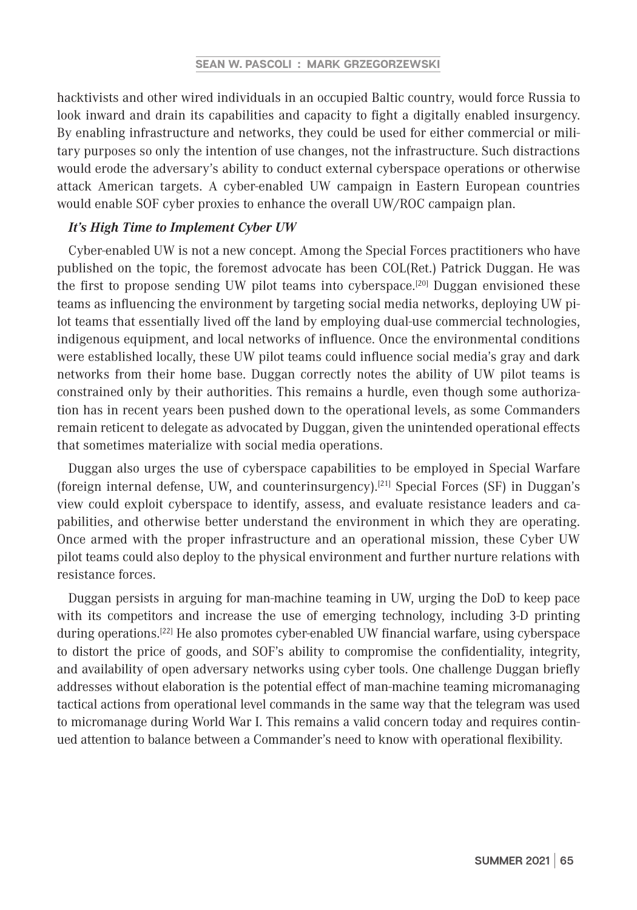hacktivists and other wired individuals in an occupied Baltic country, would force Russia to look inward and drain its capabilities and capacity to fight a digitally enabled insurgency. By enabling infrastructure and networks, they could be used for either commercial or military purposes so only the intention of use changes, not the infrastructure. Such distractions would erode the adversary's ability to conduct external cyberspace operations or otherwise attack American targets. A cyber-enabled UW campaign in Eastern European countries would enable SOF cyber proxies to enhance the overall UW/ROC campaign plan.

#### *It's High Time to Implement Cyber UW*

Cyber-enabled UW is not a new concept. Among the Special Forces practitioners who have published on the topic, the foremost advocate has been COL(Ret.) Patrick Duggan. He was the first to propose sending UW pilot teams into cyberspace.<sup>[20]</sup> Duggan envisioned these teams as influencing the environment by targeting social media networks, deploying UW pilot teams that essentially lived off the land by employing dual-use commercial technologies, indigenous equipment, and local networks of influence. Once the environmental conditions were established locally, these UW pilot teams could influence social media's gray and dark networks from their home base. Duggan correctly notes the ability of UW pilot teams is constrained only by their authorities. This remains a hurdle, even though some authorization has in recent years been pushed down to the operational levels, as some Commanders remain reticent to delegate as advocated by Duggan, given the unintended operational effects that sometimes materialize with social media operations.

Duggan also urges the use of cyberspace capabilities to be employed in Special Warfare (foreign internal defense, UW, and counterinsurgency).<sup>[21]</sup> Special Forces (SF) in Duggan's view could exploit cyberspace to identify, assess, and evaluate resistance leaders and capabilities, and otherwise better understand the environment in which they are operating. Once armed with the proper infrastructure and an operational mission, these Cyber UW pilot teams could also deploy to the physical environment and further nurture relations with resistance forces.

Duggan persists in arguing for man-machine teaming in UW, urging the DoD to keep pace with its competitors and increase the use of emerging technology, including 3-D printing during operations.<sup>[22]</sup> He also promotes cyber-enabled UW financial warfare, using cyberspace to distort the price of goods, and SOF's ability to compromise the confidentiality, integrity, and availability of open adversary networks using cyber tools. One challenge Duggan briefly addresses without elaboration is the potential effect of man-machine teaming micromanaging tactical actions from operational level commands in the same way that the telegram was used to micromanage during World War I. This remains a valid concern today and requires continued attention to balance between a Commander's need to know with operational flexibility.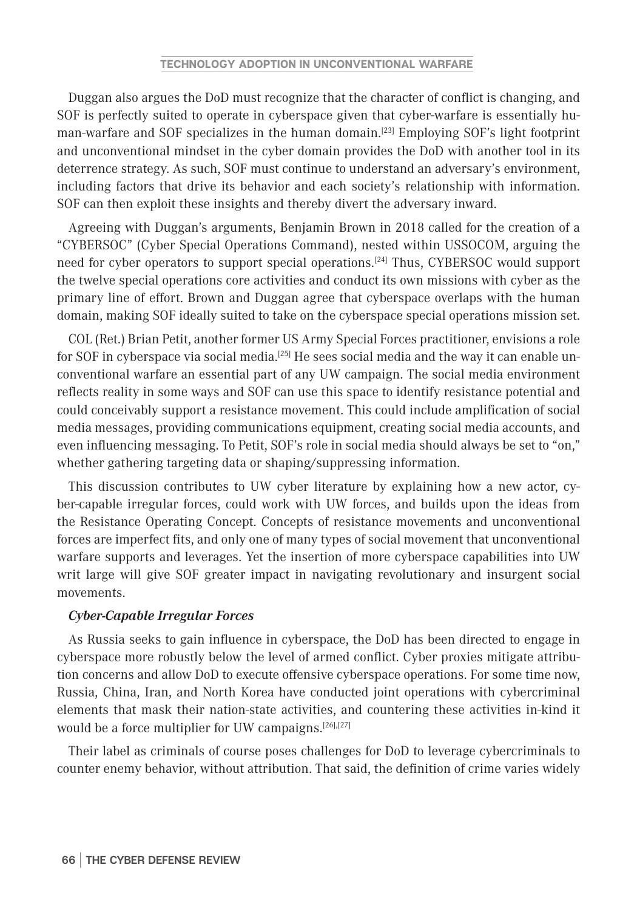Duggan also argues the DoD must recognize that the character of conflict is changing, and SOF is perfectly suited to operate in cyberspace given that cyber-warfare is essentially human-warfare and SOF specializes in the human domain.<sup>[23]</sup> Employing SOF's light footprint and unconventional mindset in the cyber domain provides the DoD with another tool in its deterrence strategy. As such, SOF must continue to understand an adversary's environment, including factors that drive its behavior and each society's relationship with information. SOF can then exploit these insights and thereby divert the adversary inward.

Agreeing with Duggan's arguments, Benjamin Brown in 2018 called for the creation of a "CYBERSOC" (Cyber Special Operations Command), nested within USSOCOM, arguing the need for cyber operators to support special operations.<sup>[24]</sup> Thus, CYBERSOC would support the twelve special operations core activities and conduct its own missions with cyber as the primary line of effort. Brown and Duggan agree that cyberspace overlaps with the human domain, making SOF ideally suited to take on the cyberspace special operations mission set.

COL (Ret.) Brian Petit, another former US Army Special Forces practitioner, envisions a role for SOF in cyberspace via social media.[25] He sees social media and the way it can enable unconventional warfare an essential part of any UW campaign. The social media environment reflects reality in some ways and SOF can use this space to identify resistance potential and could conceivably support a resistance movement. This could include amplification of social media messages, providing communications equipment, creating social media accounts, and even influencing messaging. To Petit, SOF's role in social media should always be set to "on," whether gathering targeting data or shaping/suppressing information.

This discussion contributes to UW cyber literature by explaining how a new actor, cyber-capable irregular forces, could work with UW forces, and builds upon the ideas from the Resistance Operating Concept. Concepts of resistance movements and unconventional forces are imperfect fits, and only one of many types of social movement that unconventional warfare supports and leverages. Yet the insertion of more cyberspace capabilities into UW writ large will give SOF greater impact in navigating revolutionary and insurgent social movements.

## *Cyber-Capable Irregular Forces*

As Russia seeks to gain influence in cyberspace, the DoD has been directed to engage in cyberspace more robustly below the level of armed conflict. Cyber proxies mitigate attribution concerns and allow DoD to execute offensive cyberspace operations. For some time now, Russia, China, Iran, and North Korea have conducted joint operations with cybercriminal elements that mask their nation-state activities, and countering these activities in-kind it would be a force multiplier for UW campaigns.<sup>[26],[27]</sup>

Their label as criminals of course poses challenges for DoD to leverage cybercriminals to counter enemy behavior, without attribution. That said, the definition of crime varies widely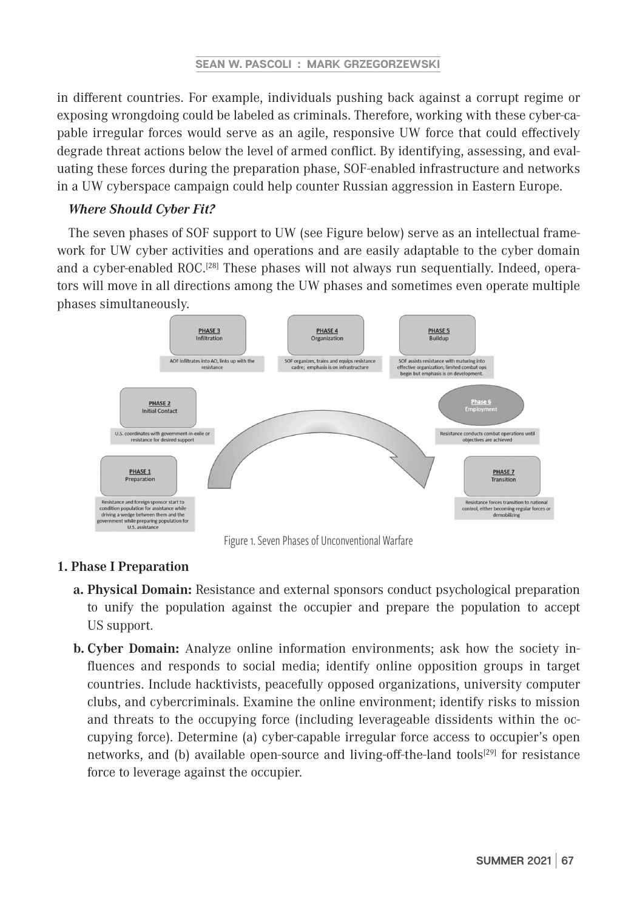in different countries. For example, individuals pushing back against a corrupt regime or exposing wrongdoing could be labeled as criminals. Therefore, working with these cyber-capable irregular forces would serve as an agile, responsive UW force that could effectively degrade threat actions below the level of armed conflict. By identifying, assessing, and evaluating these forces during the preparation phase, SOF-enabled infrastructure and networks in a UW cyberspace campaign could help counter Russian aggression in Eastern Europe.

## *Where Should Cyber Fit?*

The seven phases of SOF support to UW (see Figure below) serve as an intellectual framework for UW cyber activities and operations and are easily adaptable to the cyber domain and a cyber-enabled ROC.<sup>[28]</sup> These phases will not always run sequentially. Indeed, operators will move in all directions among the UW phases and sometimes even operate multiple phases simultaneously.



Figure 1. Seven Phases of Unconventional Warfare

## **1. Phase I Preparation**

- **a. Physical Domain:** Resistance and external sponsors conduct psychological preparation to unify the population against the occupier and prepare the population to accept US support.
- **b. Cyber Domain:** Analyze online information environments; ask how the society influences and responds to social media; identify online opposition groups in target countries. Include hacktivists, peacefully opposed organizations, university computer clubs, and cybercriminals. Examine the online environment; identify risks to mission and threats to the occupying force (including leverageable dissidents within the occupying force). Determine (a) cyber-capable irregular force access to occupier's open networks, and (b) available open-source and living-off-the-land tools<sup>[29]</sup> for resistance force to leverage against the occupier.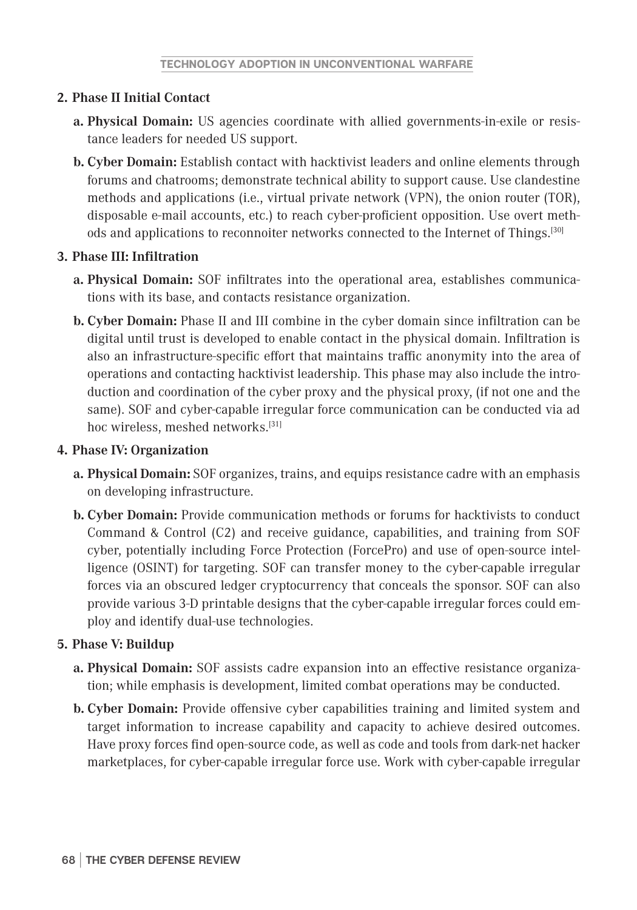# **2. Phase II Initial Contact**

- **a. Physical Domain:** US agencies coordinate with allied governments-in-exile or resistance leaders for needed US support.
- **b. Cyber Domain:** Establish contact with hacktivist leaders and online elements through forums and chatrooms; demonstrate technical ability to support cause. Use clandestine methods and applications (i.e., virtual private network (VPN), the onion router (TOR), disposable e-mail accounts, etc.) to reach cyber-proficient opposition. Use overt methods and applications to reconnoiter networks connected to the Internet of Things.[30]

# **3. Phase III: Infiltration**

- **a. Physical Domain:** SOF infiltrates into the operational area, establishes communications with its base, and contacts resistance organization.
- **b. Cyber Domain:** Phase II and III combine in the cyber domain since infiltration can be digital until trust is developed to enable contact in the physical domain. Infiltration is also an infrastructure-specific effort that maintains traffic anonymity into the area of operations and contacting hacktivist leadership. This phase may also include the introduction and coordination of the cyber proxy and the physical proxy, (if not one and the same). SOF and cyber-capable irregular force communication can be conducted via ad hoc wireless, meshed networks.<sup>[31]</sup>

# **4. Phase IV: Organization**

- **a. Physical Domain:** SOF organizes, trains, and equips resistance cadre with an emphasis on developing infrastructure.
- **b. Cyber Domain:** Provide communication methods or forums for hacktivists to conduct Command & Control (C2) and receive guidance, capabilities, and training from SOF cyber, potentially including Force Protection (ForcePro) and use of open-source intelligence (OSINT) for targeting. SOF can transfer money to the cyber-capable irregular forces via an obscured ledger cryptocurrency that conceals the sponsor. SOF can also provide various 3-D printable designs that the cyber-capable irregular forces could employ and identify dual-use technologies.

# **5. Phase V: Buildup**

- **a. Physical Domain:** SOF assists cadre expansion into an effective resistance organization; while emphasis is development, limited combat operations may be conducted.
- **b. Cyber Domain:** Provide offensive cyber capabilities training and limited system and target information to increase capability and capacity to achieve desired outcomes. Have proxy forces find open-source code, as well as code and tools from dark-net hacker marketplaces, for cyber-capable irregular force use. Work with cyber-capable irregular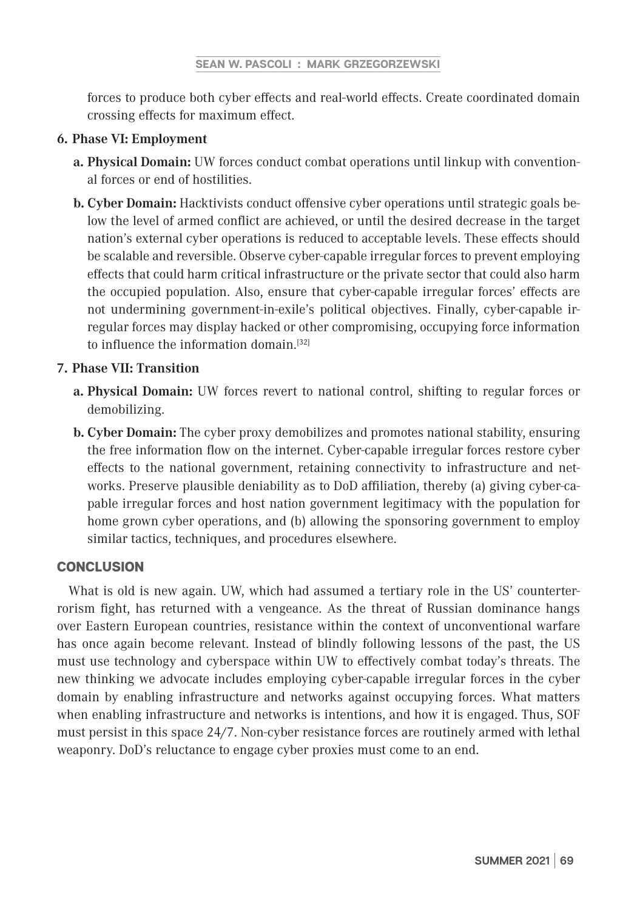#### **SEAN W. PASCOLI : MARK GRZEGORZEWSKI**

forces to produce both cyber effects and real-world effects. Create coordinated domain crossing effects for maximum effect.

## **6. Phase VI: Employment**

- **a. Physical Domain:** UW forces conduct combat operations until linkup with conventional forces or end of hostilities.
- **b. Cyber Domain:** Hacktivists conduct offensive cyber operations until strategic goals below the level of armed conflict are achieved, or until the desired decrease in the target nation's external cyber operations is reduced to acceptable levels. These effects should be scalable and reversible. Observe cyber-capable irregular forces to prevent employing effects that could harm critical infrastructure or the private sector that could also harm the occupied population. Also, ensure that cyber-capable irregular forces' effects are not undermining government-in-exile's political objectives. Finally, cyber-capable irregular forces may display hacked or other compromising, occupying force information to influence the information domain.<sup>[32]</sup>

## **7. Phase VII: Transition**

- **a. Physical Domain:** UW forces revert to national control, shifting to regular forces or demobilizing.
- **b. Cyber Domain:** The cyber proxy demobilizes and promotes national stability, ensuring the free information flow on the internet. Cyber-capable irregular forces restore cyber effects to the national government, retaining connectivity to infrastructure and networks. Preserve plausible deniability as to DoD affiliation, thereby (a) giving cyber-capable irregular forces and host nation government legitimacy with the population for home grown cyber operations, and (b) allowing the sponsoring government to employ similar tactics, techniques, and procedures elsewhere.

# **CONCLUSION**

What is old is new again. UW, which had assumed a tertiary role in the US' counterterrorism fight, has returned with a vengeance. As the threat of Russian dominance hangs over Eastern European countries, resistance within the context of unconventional warfare has once again become relevant. Instead of blindly following lessons of the past, the US must use technology and cyberspace within UW to effectively combat today's threats. The new thinking we advocate includes employing cyber-capable irregular forces in the cyber domain by enabling infrastructure and networks against occupying forces. What matters when enabling infrastructure and networks is intentions, and how it is engaged. Thus, SOF must persist in this space 24/7. Non-cyber resistance forces are routinely armed with lethal weaponry. DoD's reluctance to engage cyber proxies must come to an end.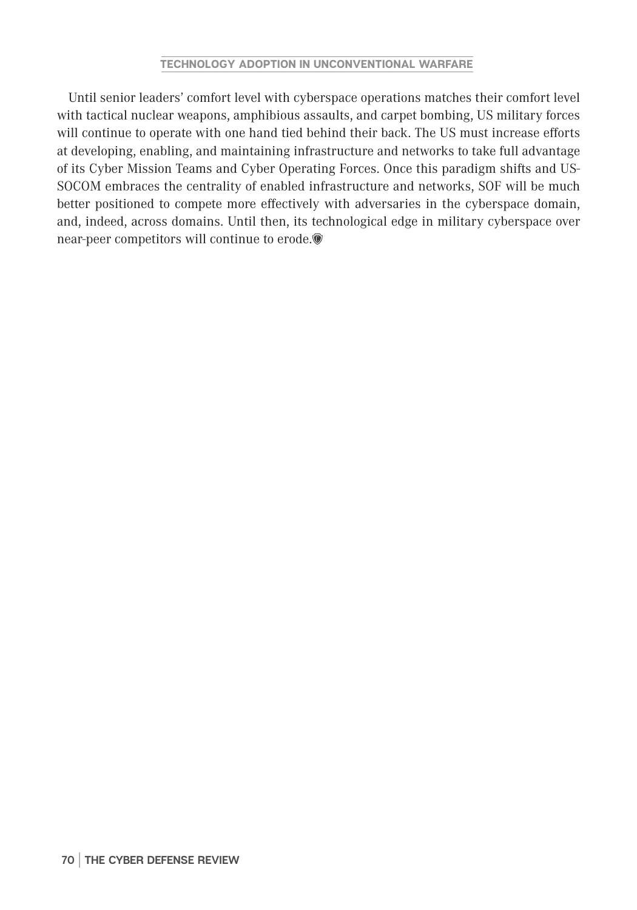Until senior leaders' comfort level with cyberspace operations matches their comfort level with tactical nuclear weapons, amphibious assaults, and carpet bombing, US military forces will continue to operate with one hand tied behind their back. The US must increase efforts at developing, enabling, and maintaining infrastructure and networks to take full advantage of its Cyber Mission Teams and Cyber Operating Forces. Once this paradigm shifts and US-SOCOM embraces the centrality of enabled infrastructure and networks, SOF will be much better positioned to compete more effectively with adversaries in the cyberspace domain, and, indeed, across domains. Until then, its technological edge in military cyberspace over near-peer competitors will continue to erode.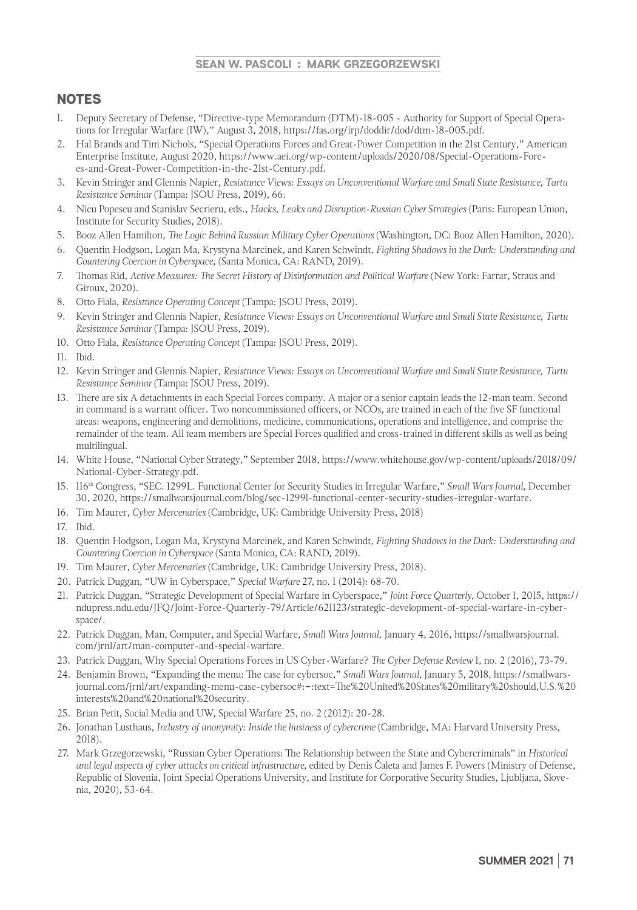#### **SEAN W. PASCOLI : MARK GRZEGORZEWSKI**

# NOTES

- 1. Deputy Secretary of Defense, "Directive-type Memorandum (DTM)-18-005 Authority for Support of Special Operations for Irregular Warfare (IW)," August 3, 2018, https://fas.org/irp/doddir/dod/dtm-18-005.pdf.
- 2. Hal Brands and Tim Nichols, "Special Operations Forces and Great-Power Competition in the 21st Century," American Enterprise Institute, August 2020, https://www.aei.org/wp-content/uploads/2020/08/Special-Operations-Forces-and-Great-Power-Competition-in-the-21st-Century.pdf.
- 3. Kevin Stringer and Glennis Napier, *Resistance Views: Essays on Unconventional Warfare and Small State Resistance*, *Tartu Resistance Seminar* (Tampa: JSOU Press, 2019), 66.
- 4. Nicu Popescu and Stanislav Secrieru, eds., *Hacks, Leaks and Disruption-Russian Cyber Strategies* (Paris: European Union, Institute for Security Studies, 2018).
- 5. Booz Allen Hamilton, *The Logic Behind Russian Military Cyber Operations* (Washington, DC: Booz Allen Hamilton, 2020).
- 6. Quentin Hodgson, Logan Ma, Krystyna Marcinek, and Karen Schwindt, *Fighting Shadows in the Dark: Understanding and Countering Coercion in Cyberspace*, (Santa Monica, CA: RAND, 2019).
- 7. Thomas Rid, *Active Measures: The Secret History of Disinformation and Political Warfare* (New York: Farrar, Straus and Giroux, 2020).
- 8. Otto Fiala, *Resistance Operating Concept* (Tampa: JSOU Press, 2019).
- 9. Kevin Stringer and Glennis Napier, *Resistance Views: Essays on Unconventional Warfare and Small State Resistance, Tartu Resistance Seminar* (Tampa: JSOU Press, 2019).
- 10. Otto Fiala, *Resistance Operating Concept* (Tampa: JSOU Press, 2019).
- 11. Ibid.
- 12. Kevin Stringer and Glennis Napier, *Resistance Views: Essays on Unconventional Warfare and Small State Resistance, Tartu Resistance Seminar* (Tampa: JSOU Press, 2019).
- 13. There are six A detachments in each Special Forces company. A major or a senior captain leads the 12-man team. Second in command is a warrant officer. Two noncommissioned officers, or NCOs, are trained in each of the five SF functional areas: weapons, engineering and demolitions, medicine, communications, operations and intelligence, and comprise the remainder of the team. All team members are Special Forces qualified and cross-trained in different skills as well as being multilingual.
- 14. White House, "National Cyber Strategy," September 2018, https://www.whitehouse.gov/wp-content/uploads/2018/09/ National-Cyber-Strategy.pdf.
- 15. 116th Congress, "SEC. 1299L. Functional Center for Security Studies in Irregular Warfare," *Small Wars Journal*, December 30, 2020, https://smallwarsjournal.com/blog/sec-1299l-functional-center-security-studies-irregular-warfare.
- 16. Tim Maurer, *Cyber Mercenaries* (Cambridge, UK: Cambridge University Press, 2018)
- 17. Ibid.
- 18. Quentin Hodgson, Logan Ma, Krystyna Marcinek, and Karen Schwindt, *Fighting Shadows in the Dark: Understanding and Countering Coercion in Cyberspace* (Santa Monica, CA: RAND, 2019).
- 19. Tim Maurer, *Cyber Mercenaries* (Cambridge, UK: Cambridge University Press, 2018).
- 20. Patrick Duggan, "UW in Cyberspace," *Special Warfare* 27, no. 1 (2014): 68-70.
- 21. Patrick Duggan, "Strategic Development of Special Warfare in Cyberspace," *Joint Force Quarterly*, October 1, 2015, https:// ndupress.ndu.edu/JFQ/Joint-Force-Quarterly-79/Article/621123/strategic-development-of-special-warfare-in-cyberspace/.
- 22. Patrick Duggan, Man, Computer, and Special Warfare, *Small Wars Journal,* January 4, 2016, https://smallwarsjournal. com/jrnl/art/man-computer-and-special-warfare.
- 23. Patrick Duggan, Why Special Operations Forces in US Cyber-Warfare? *The Cyber Defense Review* 1, no. 2 (2016), 73-79.
- 24. Benjamin Brown, "Expanding the menu: The case for cybersoc," *Small Wars Journal*, January 5, 2018, https://smallwarsjournal.com/jrnl/art/expanding-menu-case-cybersoc#:~:text=The%20United%20States%20military%20should,U.S.%20 interests%20and%20national%20security.
- 25. Brian Petit, Social Media and UW, Special Warfare 25, no. 2 (2012): 20-28.
- 26. Jonathan Lusthaus, *Industry of anonymity: Inside the business of cybercrime* (Cambridge, MA: Harvard University Press, 2018).
- 27. Mark Grzegorzewski, "Russian Cyber Operations: The Relationship between the State and Cybercriminals" in *Historical and legal aspects of cyber attacks on critical infrastructure*, edited by Denis Čaleta and James F. Powers (Ministry of Defense, Republic of Slovenia, Joint Special Operations University, and Institute for Corporative Security Studies, Ljubljana, Slovenia, 2020), 53-64.